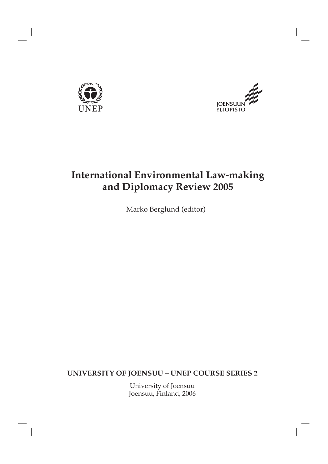



## **International Environmental Law-making and Diplomacy Review 2005**

Marko Berglund (editor)

**UNIVERSITY OF JOENSUU – UNEP COURSE SERIES 2**

University of Joensuu Joensuu, Finland, 2006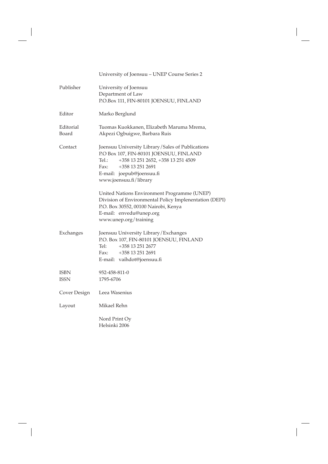University of Joensuu – UNEP Course Series 2

| Publisher                  | University of Joensuu<br>Department of Law<br>P.O.Box 111, FIN-80101 JOENSUU, FINLAND                                                                                                                                            |
|----------------------------|----------------------------------------------------------------------------------------------------------------------------------------------------------------------------------------------------------------------------------|
| Editor                     | Marko Berglund                                                                                                                                                                                                                   |
| Editorial<br>Board         | Tuomas Kuokkanen, Elizabeth Maruma Mrema,<br>Akpezi Ogbuigwe, Barbara Ruis                                                                                                                                                       |
| Contact                    | Joensuu University Library/Sales of Publications<br>P.O Box 107, FIN-80101 JOENSUU, FINLAND<br>+358 13 251 2652, +358 13 251 4509<br>$Tel.$ :<br>+358 13 251 2691<br>Fax:<br>E-mail: joepub@joensuu.fi<br>www.joensuu.fi/library |
|                            | United Nations Environment Programme (UNEP)<br>Division of Environmental Policy Implenentation (DEPI)<br>P.O. Box 30552, 00100 Nairobi, Kenya<br>E-mail: envedu@unep.org<br>www.unep.org/training                                |
| Exchanges                  | Joensuu University Library/Exchanges<br>P.O. Box 107, FIN-80101 JOENSUU, FINLAND<br>Tel:<br>+358 13 251 2677<br>+358 13 251 2691<br>Fax:<br>E-mail: vaihdot@joensuu.fi                                                           |
| <b>ISBN</b><br><b>ISSN</b> | 952-458-811-0<br>1795-6706                                                                                                                                                                                                       |
| Cover Design               | Leea Wasenius                                                                                                                                                                                                                    |
| Layout                     | Mikael Rehn                                                                                                                                                                                                                      |
|                            | Nord Print Oy<br>Helsinki 2006                                                                                                                                                                                                   |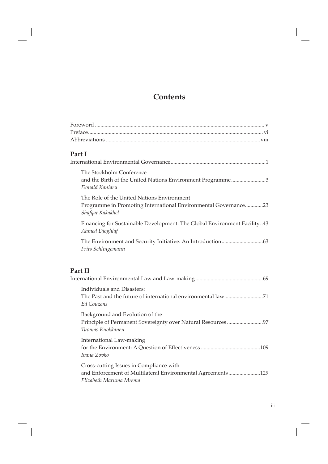### **Contents**

| Part I                                                                                                                            |
|-----------------------------------------------------------------------------------------------------------------------------------|
|                                                                                                                                   |
| The Stockholm Conference<br>and the Birth of the United Nations Environment Programme3<br>Donald Kaniaru                          |
| The Role of the United Nations Environment<br>Programme in Promoting International Environmental Governance23<br>Shafqat Kakakhel |
| Financing for Sustainable Development: The Global Environment Facility43<br>Ahmed Djoghlaf                                        |
| Frits Schlingemann                                                                                                                |
| Part II                                                                                                                           |
| <b>Individuals and Disasters:</b><br>The Past and the future of international environmental law71<br><b>Ed Couzens</b>            |
| Background and Evolution of the<br>Principle of Permanent Sovereignty over Natural Resources97<br>Tuomas Kuokkanen                |
| International Law-making<br>Ivana Zovko                                                                                           |
| Cross-cutting Issues in Compliance with<br>and Enforcement of Multilateral Environmental Agreements129<br>Elizabeth Maruma Mrema  |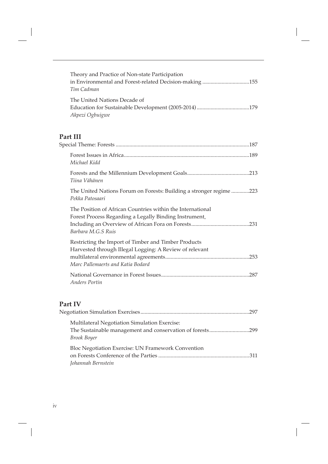| Theory and Practice of Non-state Participation          |
|---------------------------------------------------------|
| in Environmental and Forest-related Decision-making 155 |
| Tim Cadman                                              |
| The United Nations Decade of                            |
|                                                         |
| Akpezi Ogbuigwe                                         |

# **Part III**<br>Special Tl

| Michael Kidd                                                                                                                                         |  |
|------------------------------------------------------------------------------------------------------------------------------------------------------|--|
| Tiina Vähänen                                                                                                                                        |  |
| The United Nations Forum on Forests: Building a stronger regime 223<br>Pekka Patosaari                                                               |  |
| The Position of African Countries within the International<br>Forest Process Regarding a Legally Binding Instrument,<br>Barbara M.G.S Ruis           |  |
| Restricting the Import of Timber and Timber Products<br>Harvested through Illegal Logging: A Review of relevant<br>Marc Pallemaerts and Katia Bodard |  |
| Anders Portin                                                                                                                                        |  |

## **Part IV**

|                                                                                                                                  | 297   |
|----------------------------------------------------------------------------------------------------------------------------------|-------|
| Multilateral Negotiation Simulation Exercise:<br>The Sustainable management and conservation of forests299<br><b>Brook Boyer</b> |       |
| Bloc Negotiation Exercise: UN Framework Convention<br>Johannah Bernstein                                                         | . 311 |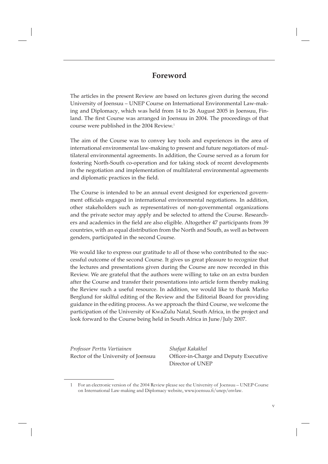#### **Foreword**

The articles in the present Review are based on lectures given during the second University of Joensuu – UNEP Course on International Environmental Law-making and Diplomacy, which was held from 14 to 26 August 2005 in Joensuu, Finland. The first Course was arranged in Joensuu in 2004. The proceedings of that course were published in the 2004 Review.<sup>1</sup>

The aim of the Course was to convey key tools and experiences in the area of international environmental law-making to present and future negotiators of multilateral environmental agreements. In addition, the Course served as a forum for fostering North-South co-operation and for taking stock of recent developments in the negotiation and implementation of multilateral environmental agreements and diplomatic practices in the field.

The Course is intended to be an annual event designed for experienced government officials engaged in international environmental negotiations. In addition, other stakeholders such as representatives of non-governmental organizations and the private sector may apply and be selected to attend the Course. Researchers and academics in the field are also eligible. Altogether 47 participants from 39 countries, with an equal distribution from the North and South, as well as between genders, participated in the second Course.

We would like to express our gratitude to all of those who contributed to the successful outcome of the second Course. It gives us great pleasure to recognize that the lectures and presentations given during the Course are now recorded in this Review. We are grateful that the authors were willing to take on an extra burden after the Course and transfer their presentations into article form thereby making the Review such a useful resource. In addition, we would like to thank Marko Berglund for skilful editing of the Review and the Editorial Board for providing guidance in the editing process. As we approach the third Course, we welcome the participation of the University of KwaZulu Natal, South Africa, in the project and look forward to the Course being held in South Africa in June/July 2007.

*Professor Perttu Vartiainen Shafqat Kakakhel*

Rector of the University of Joensuu Officer-in-Charge and Deputy Executive Director of UNEP

<sup>1</sup> For an electronic version of the 2004 Review please see the University of Joensuu – UNEP Course on International Law-making and Diplomacy website, www.joensuu.fi/unep/envlaw.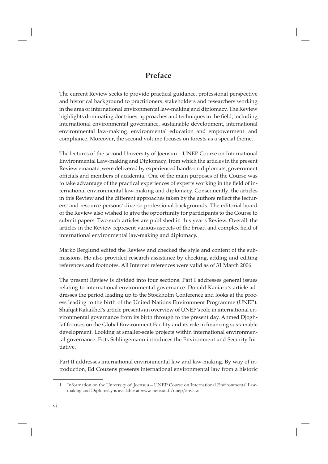#### **Preface**

The current Review seeks to provide practical guidance, professional perspective and historical background to practitioners, stakeholders and researchers working in the area of international environmental law-making and diplomacy. The Review highlights dominating doctrines, approaches and techniques in the field, including international environmental governance, sustainable development, international environmental law-making, environmental education and empowerment, and compliance. Moreover, the second volume focuses on forests as a special theme.

The lectures of the second University of Joensuu – UNEP Course on International Environmental Law-making and Diplomacy, from which the articles in the present Review emanate, were delivered by experienced hands-on diplomats, government officials and members of academia.<sup>1</sup> One of the main purposes of the Course was to take advantage of the practical experiences of experts working in the field of international environmental law-making and diplomacy. Consequently, the articles in this Review and the different approaches taken by the authors reflect the lecturers' and resource persons' diverse professional backgrounds. The editorial board of the Review also wished to give the opportunity for participants to the Course to submit papers. Two such articles are published in this year's Review. Overall, the articles in the Review represent various aspects of the broad and complex field of international environmental law-making and diplomacy.

Marko Berglund edited the Review and checked the style and content of the submissions. He also provided research assistance by checking, adding and editing references and footnotes. All Internet references were valid as of 31 March 2006.

The present Review is divided into four sections. Part I addresses general issues relating to international environmental governance. Donald Kaniaru's article addresses the period leading up to the Stockholm Conference and looks at the process leading to the birth of the United Nations Environment Programme (UNEP). Shafqat Kakakhel's article presents an overview of UNEP's role in international environmental governance from its birth through to the present day. Ahmed Djoghlaf focuses on the Global Environment Facility and its role in financing sustainable development. Looking at smaller-scale projects within international environmental governance, Frits Schlingemann introduces the Environment and Security Initiative.

Part II addresses international environmental law and law-making. By way of introduction, Ed Couzens presents international environmental law from a historic

<sup>1</sup> Information on the University of Joensuu – UNEP Course on International Environmental Lawmaking and Diplomacy is available at www.joensuu.fi/unep/envlaw.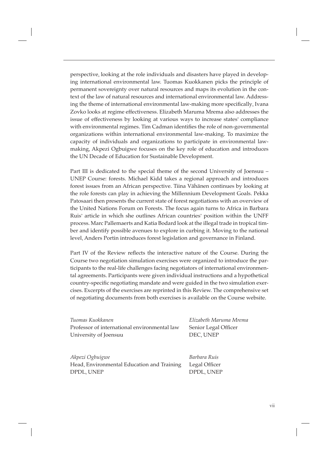perspective, looking at the role individuals and disasters have played in developing international environmental law. Tuomas Kuokkanen picks the principle of permanent sovereignty over natural resources and maps its evolution in the context of the law of natural resources and international environmental law. Addressing the theme of international environmental law-making more specifically, Ivana Zovko looks at regime effectiveness. Elizabeth Maruma Mrema also addresses the issue of effectiveness by looking at various ways to increase states' compliance with environmental regimes. Tim Cadman identifies the role of non-governmental organizations within international environmental law-making. To maximize the capacity of individuals and organizations to participate in environmental lawmaking, Akpezi Ogbuigwe focuses on the key role of education and introduces the UN Decade of Education for Sustainable Development.

Part III is dedicated to the special theme of the second University of Joensuu – UNEP Course: forests. Michael Kidd takes a regional approach and introduces forest issues from an African perspective. Tiina Vähänen continues by looking at the role forests can play in achieving the Millennium Development Goals. Pekka Patosaari then presents the current state of forest negotiations with an overview of the United Nations Forum on Forests. The focus again turns to Africa in Barbara Ruis' article in which she outlines African countries' position within the UNFF process. Marc Pallemaerts and Katia Bodard look at the illegal trade in tropical timber and identify possible avenues to explore in curbing it. Moving to the national level, Anders Portin introduces forest legislation and governance in Finland.

Part IV of the Review reflects the interactive nature of the Course. During the Course two negotiation simulation exercises were organized to introduce the participants to the real-life challenges facing negotiators of international environmental agreements. Participants were given individual instructions and a hypothetical country-specific negotiating mandate and were guided in the two simulation exercises. Excerpts of the exercises are reprinted in this Review. The comprehensive set of negotiating documents from both exercises is available on the Course website.

| Tuomas Kuokkanen                             |  |
|----------------------------------------------|--|
| Professor of international environmental law |  |
| University of Joensuu                        |  |

*Tuomas Kuokkanen Elizabeth Maruma Mrema* Senior Legal Officer DEC, UNEP

*Akpezi Ogbuigwe Barbara Ruis* Head, Environmental Education and Training Legal Officer DPDL, UNEP DPDL, UNEP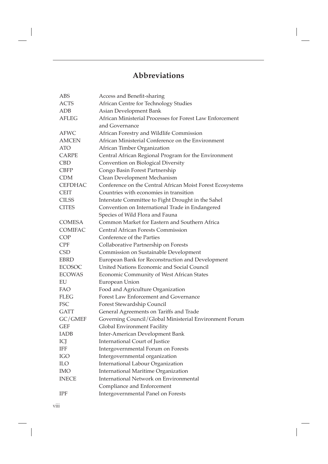### **Abbreviations**

| <b>ABS</b>     | Access and Benefit-sharing                                |
|----------------|-----------------------------------------------------------|
| <b>ACTS</b>    | African Centre for Technology Studies                     |
| ADB            | Asian Development Bank                                    |
| AFLEG          | African Ministerial Processes for Forest Law Enforcement  |
|                | and Governance                                            |
| <b>AFWC</b>    | African Forestry and Wildlife Commission                  |
| <b>AMCEN</b>   | African Ministerial Conference on the Environment         |
| <b>ATO</b>     | African Timber Organization                               |
| <b>CARPE</b>   | Central African Regional Program for the Environment      |
| <b>CBD</b>     | Convention on Biological Diversity                        |
| CBFP           | Congo Basin Forest Partnership                            |
| <b>CDM</b>     | Clean Development Mechanism                               |
| <b>CEFDHAC</b> | Conference on the Central African Moist Forest Ecosystems |
| <b>CEIT</b>    | Countries with economies in transition                    |
| <b>CILSS</b>   | Interstate Committee to Fight Drought in the Sahel        |
| <b>CITES</b>   | Convention on International Trade in Endangered           |
|                | Species of Wild Flora and Fauna                           |
| COMESA         | Common Market for Eastern and Southern Africa             |
| <b>COMIFAC</b> | <b>Central African Forests Commission</b>                 |
| <b>COP</b>     | Conference of the Parties                                 |
| <b>CPF</b>     | Collaborative Partnership on Forests                      |
| <b>CSD</b>     | Commission on Sustainable Development                     |
| <b>EBRD</b>    | European Bank for Reconstruction and Development          |
| <b>ECOSOC</b>  | United Nations Economic and Social Council                |
| <b>ECOWAS</b>  | Economic Community of West African States                 |
| EU             | European Union                                            |
| <b>FAO</b>     | Food and Agriculture Organization                         |
| <b>FLEG</b>    | Forest Law Enforcement and Governance                     |
| <b>FSC</b>     | Forest Stewardship Council                                |
| <b>GATT</b>    | General Agreements on Tariffs and Trade                   |
| GC/GMEF        | Governing Council/Global Ministerial Environment Forum    |
| <b>GEF</b>     | Global Environment Facility                               |
| <b>IADB</b>    | Inter-American Development Bank                           |
| ICJ            | <b>International Court of Justice</b>                     |
| <b>IFF</b>     | Intergovernmental Forum on Forests                        |
| IGO            | Intergovernmental organization                            |
| $\rm ILO$      | <b>International Labour Organization</b>                  |
| <b>IMO</b>     | <b>International Maritime Organization</b>                |
| <b>INECE</b>   | International Network on Environmental                    |
|                | Compliance and Enforcement                                |
| IPF            | Intergovernmental Panel on Forests                        |
|                |                                                           |

viii

 $\overline{\phantom{a}}$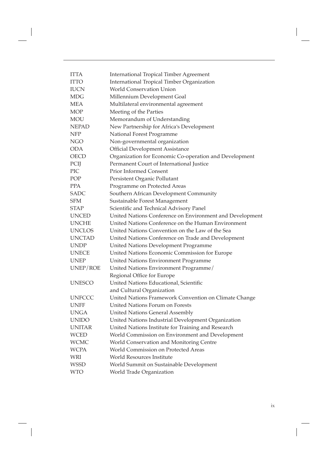| <b>ITTA</b>   | <b>International Tropical Timber Agreement</b>           |
|---------------|----------------------------------------------------------|
| <b>ITTO</b>   | International Tropical Timber Organization               |
| <b>IUCN</b>   | <b>World Conservation Union</b>                          |
| <b>MDG</b>    | Millennium Development Goal                              |
| <b>MEA</b>    | Multilateral environmental agreement                     |
| <b>MOP</b>    | Meeting of the Parties                                   |
| <b>MOU</b>    | Memorandum of Understanding                              |
| <b>NEPAD</b>  | New Partnership for Africa's Development                 |
| <b>NFP</b>    | National Forest Programme                                |
| NGO           | Non-governmental organization                            |
| <b>ODA</b>    | <b>Official Development Assistance</b>                   |
| <b>OECD</b>   | Organization for Economic Co-operation and Development   |
| PCIJ          | Permanent Court of International Justice                 |
| PIC           | <b>Prior Informed Consent</b>                            |
| POP           | Persistent Organic Pollutant                             |
| <b>PPA</b>    | Programme on Protected Areas                             |
| <b>SADC</b>   | Southern African Development Community                   |
| <b>SFM</b>    | Sustainable Forest Management                            |
| <b>STAP</b>   | Scientific and Technical Advisory Panel                  |
| <b>UNCED</b>  | United Nations Conference on Environment and Development |
| <b>UNCHE</b>  | United Nations Conference on the Human Environment       |
| <b>UNCLOS</b> | United Nations Convention on the Law of the Sea          |
| <b>UNCTAD</b> | United Nations Conference on Trade and Development       |
| <b>UNDP</b>   | United Nations Development Programme                     |
| <b>UNECE</b>  | United Nations Economic Commission for Europe            |
| <b>UNEP</b>   | United Nations Environment Programme                     |
| UNEP/ROE      | United Nations Environment Programme/                    |
|               | Regional Office for Europe                               |
| <b>UNESCO</b> | United Nations Educational, Scientific                   |
|               | and Cultural Organization                                |
| <b>UNFCCC</b> | United Nations Framework Convention on Climate Change    |
| <b>UNFF</b>   | United Nations Forum on Forests                          |
| <b>UNGA</b>   | <b>United Nations General Assembly</b>                   |
| <b>UNIDO</b>  | United Nations Industrial Development Organization       |
| <b>UNITAR</b> | United Nations Institute for Training and Research       |
| <b>WCED</b>   | World Commission on Environment and Development          |
| <b>WCMC</b>   | World Conservation and Monitoring Centre                 |
| <b>WCPA</b>   | World Commission on Protected Areas                      |
| WRI           | World Resources Institute                                |
| <b>WSSD</b>   | World Summit on Sustainable Development                  |
| <b>WTO</b>    | World Trade Organization                                 |